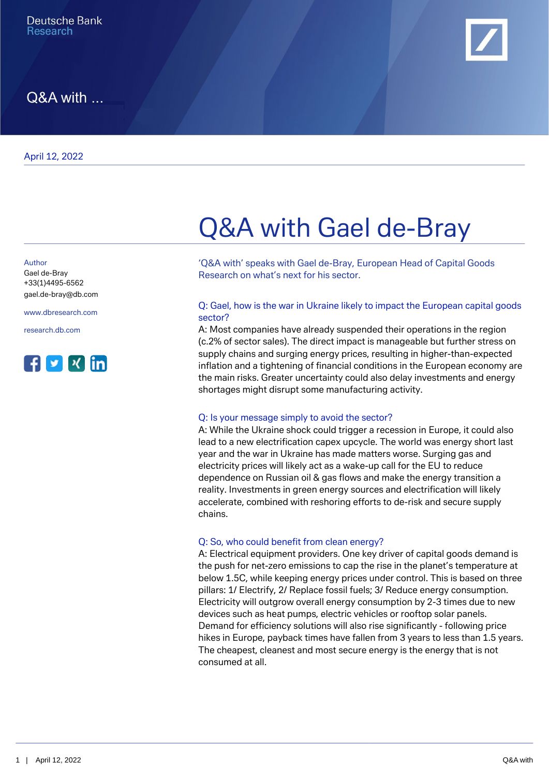

Q&A with ...

Author

+33(1)4495-6562 [gael.de-bray@db.com](mailto:gael.de-bray@db.com)

[www.dbresearch.com](https://www.dbresearch.com)

[research.db.com](https://research.db.com)



# Q&A with Gael de-Bray

'Q&A with' speaks with Gael de-Bray, European Head of Capital Goods Gael de-Bray extending the Research on what's next for his sector.

#### Q: Gael, how is the war in Ukraine likely to impact the European capital goods sector?

A: Most companies have already suspended their operations in the region (c.2% of sector sales). The direct impact is manageable but further stress on supply chains and surging energy prices, resulting in higher-than-expected inflation and a tightening of financial conditions in the European economy are the main risks. Greater uncertainty could also delay investments and energy shortages might disrupt some manufacturing activity.

#### Q: Is your message simply to avoid the sector?

A: While the Ukraine shock could trigger a recession in Europe, it could also lead to a new electrification capex upcycle. The world was energy short last year and the war in Ukraine has made matters worse. Surging gas and electricity prices will likely act as a wake-up call for the EU to reduce dependence on Russian oil & gas flows and make the energy transition a reality. Investments in green energy sources and electrification will likely accelerate, combined with reshoring efforts to de-risk and secure supply chains.

#### Q: So, who could benefit from clean energy?

A: Electrical equipment providers. One key driver of capital goods demand is the push for net-zero emissions to cap the rise in the planet's temperature at below 1.5C, while keeping energy prices under control. This is based on three pillars: 1/ Electrify, 2/ Replace fossil fuels; 3/ Reduce energy consumption. Electricity will outgrow overall energy consumption by 2-3 times due to new devices such as heat pumps, electric vehicles or rooftop solar panels. Demand for efficiency solutions will also rise significantly - following price hikes in Europe, payback times have fallen from 3 years to less than 1.5 years. The cheapest, cleanest and most secure energy is the energy that is not consumed at all.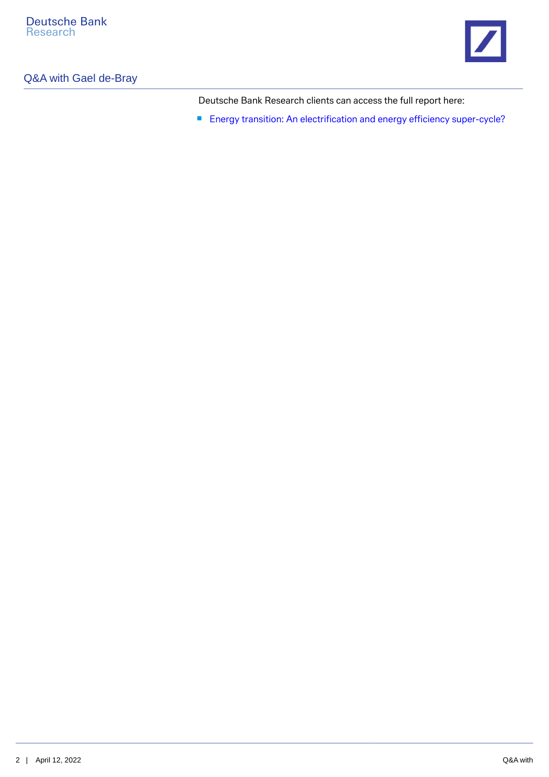

## Q&A with Gael de-Bray

Deutsche Bank Research clients can access the full report here:

■ [Energy transition: An electrification and energy efficiency super-cycle?](https://research.db.com/Research/Article?rid=d6f59fca-afcc-4c5b-b0df-060e27dfcfb6-604&kid=RP0001&documentType=R&wt_cc1=IND-3040823-0000)